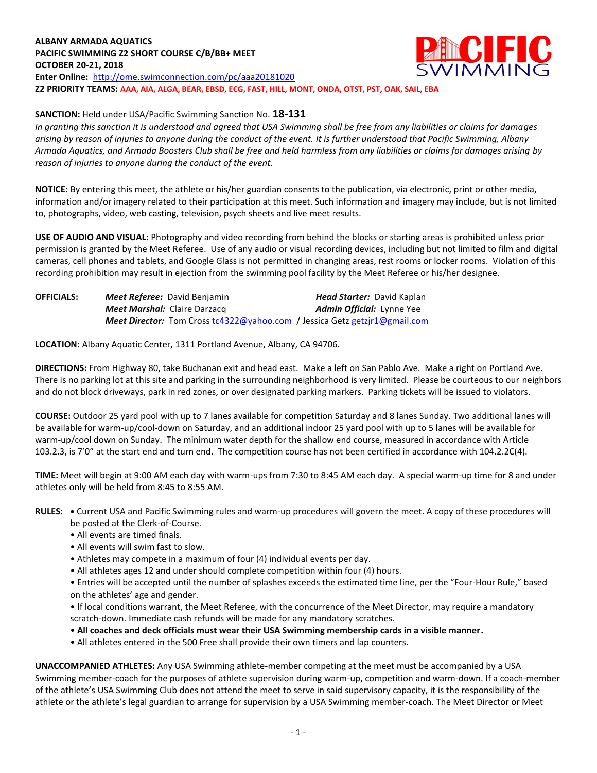#### **ALBANY ARMADA AQUATICS** ECIFIC **PACIFIC SWIMMING Z2 SHORT COURSE C/B/BB+ MEET OCTOBER 20-21, 2018 Enter Online:** <http://ome.swimconnection.com/pc/aaa20181020> **Z2 PRIORITY TEAMS: AAA, AIA, ALGA, BEAR, EBSD, ECG, FAST, HILL, MONT, ONDA, OTST, PST, OAK, SAIL, EBA**

## **SANCTION:** Held under USA/Pacific Swimming Sanction No. **18-131**

*In granting this sanction it is understood and agreed that USA Swimming shall be free from any liabilities or claims for damages arising by reason of injuries to anyone during the conduct of the event. It is further understood that Pacific Swimming, Albany Armada Aquatics, and Armada Boosters Club shall be free and held harmless from any liabilities or claims for damages arising by reason of injuries to anyone during the conduct of the event.*

**NOTICE:** By entering this meet, the athlete or his/her guardian consents to the publication, via electronic, print or other media, information and/or imagery related to their participation at this meet. Such information and imagery may include, but is not limited to, photographs, video, web casting, television, psych sheets and live meet results.

**USE OF AUDIO AND VISUAL:** Photography and video recording from behind the blocks or starting areas is prohibited unless prior permission is granted by the Meet Referee. Use of any audio or visual recording devices, including but not limited to film and digital cameras, cell phones and tablets, and Google Glass is not permitted in changing areas, rest rooms or locker rooms. Violation of this recording prohibition may result in ejection from the swimming pool facility by the Meet Referee or his/her designee.

| <b>OFFICIALS:</b> | <b>Meet Referee:</b> David Benjamin                                               | <b>Head Starter: David Kaplan</b> |
|-------------------|-----------------------------------------------------------------------------------|-----------------------------------|
|                   | <b>Meet Marshal: Claire Darzacq</b>                                               | <b>Admin Official: Lynne Yee</b>  |
|                   | <b>Meet Director:</b> Tom Cross tc4322@yahoo.com / Jessica Getz getzir1@gmail.com |                                   |

**LOCATION:** Albany Aquatic Center, 1311 Portland Avenue, Albany, CA 94706.

**DIRECTIONS:** From Highway 80, take Buchanan exit and head east. Make a left on San Pablo Ave. Make a right on Portland Ave. There is no parking lot at this site and parking in the surrounding neighborhood is very limited. Please be courteous to our neighbors and do not block driveways, park in red zones, or over designated parking markers. Parking tickets will be issued to violators.

**COURSE:** Outdoor 25 yard pool with up to 7 lanes available for competition Saturday and 8 lanes Sunday. Two additional lanes will be available for warm-up/cool-down on Saturday, and an additional indoor 25 yard pool with up to 5 lanes will be available for warm-up/cool down on Sunday. The minimum water depth for the shallow end course, measured in accordance with Article 103.2.3, is 7'0" at the start end and turn end. The competition course has not been certified in accordance with 104.2.2C(4).

**TIME:** Meet will begin at 9:00 AM each day with warm-ups from 7:30 to 8:45 AM each day. A special warm-up time for 8 and under athletes only will be held from 8:45 to 8:55 AM.

- **RULES: •** Current USA and Pacific Swimming rules and warm-up procedures will govern the meet. A copy of these procedures will be posted at the Clerk-of-Course.
	- All events are timed finals.
	- All events will swim fast to slow.
	- Athletes may compete in a maximum of four (4) individual events per day.
	- All athletes ages 12 and under should complete competition within four (4) hours.

• Entries will be accepted until the number of splashes exceeds the estimated time line, per the "Four-Hour Rule," based on the athletes' age and gender.

• If local conditions warrant, the Meet Referee, with the concurrence of the Meet Director, may require a mandatory scratch-down. Immediate cash refunds will be made for any mandatory scratches.

- **All coaches and deck officials must wear their USA Swimming membership cards in a visible manner.**
- All athletes entered in the 500 Free shall provide their own timers and lap counters.

**UNACCOMPANIED ATHLETES:** Any USA Swimming athlete-member competing at the meet must be accompanied by a USA Swimming member-coach for the purposes of athlete supervision during warm-up, competition and warm-down. If a coach-member of the athlete's USA Swimming Club does not attend the meet to serve in said supervisory capacity, it is the responsibility of the athlete or the athlete's legal guardian to arrange for supervision by a USA Swimming member-coach. The Meet Director or Meet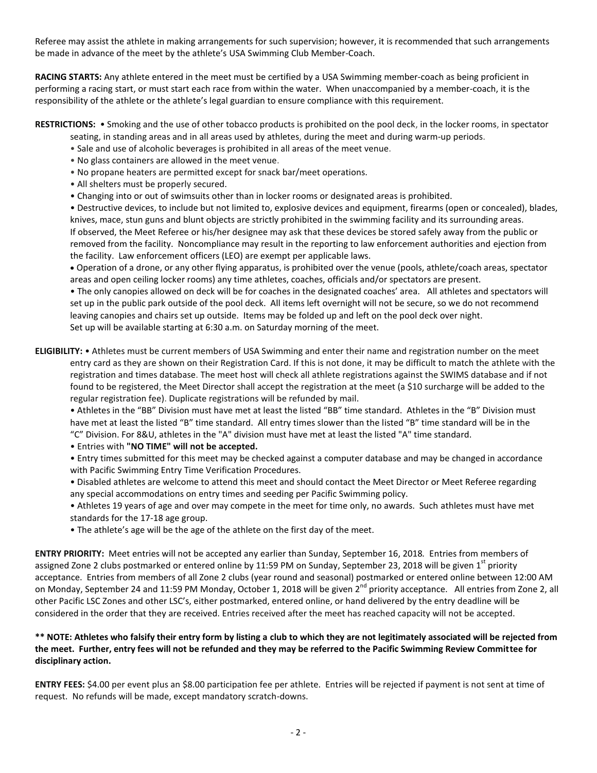Referee may assist the athlete in making arrangements for such supervision; however, it is recommended that such arrangements be made in advance of the meet by the athlete's USA Swimming Club Member-Coach.

**RACING STARTS:** Any athlete entered in the meet must be certified by a USA Swimming member-coach as being proficient in performing a racing start, or must start each race from within the water. When unaccompanied by a member-coach, it is the responsibility of the athlete or the athlete's legal guardian to ensure compliance with this requirement.

#### **RESTRICTIONS:** • Smoking and the use of other tobacco products is prohibited on the pool deck, in the locker rooms, in spectator seating, in standing areas and in all areas used by athletes, during the meet and during warm-up periods.

- Sale and use of alcoholic beverages is prohibited in all areas of the meet venue.
- No glass containers are allowed in the meet venue.
- No propane heaters are permitted except for snack bar/meet operations.
- All shelters must be properly secured.
- Changing into or out of swimsuits other than in locker rooms or designated areas is prohibited.

• Destructive devices, to include but not limited to, explosive devices and equipment, firearms (open or concealed), blades, knives, mace, stun guns and blunt objects are strictly prohibited in the swimming facility and its surrounding areas. If observed, the Meet Referee or his/her designee may ask that these devices be stored safely away from the public or removed from the facility. Noncompliance may result in the reporting to law enforcement authorities and ejection from the facility. Law enforcement officers (LEO) are exempt per applicable laws.

 Operation of a drone, or any other flying apparatus, is prohibited over the venue (pools, athlete/coach areas, spectator areas and open ceiling locker rooms) any time athletes, coaches, officials and/or spectators are present.

• The only canopies allowed on deck will be for coaches in the designated coaches' area. All athletes and spectators will set up in the public park outside of the pool deck. All items left overnight will not be secure, so we do not recommend leaving canopies and chairs set up outside. Items may be folded up and left on the pool deck over night. Set up will be available starting at 6:30 a.m. on Saturday morning of the meet.

**ELIGIBILITY:** • Athletes must be current members of USA Swimming and enter their name and registration number on the meet entry card as they are shown on their Registration Card. If this is not done, it may be difficult to match the athlete with the registration and times database. The meet host will check all athlete registrations against the SWIMS database and if not found to be registered, the Meet Director shall accept the registration at the meet (a \$10 surcharge will be added to the regular registration fee). Duplicate registrations will be refunded by mail.

• Athletes in the "BB" Division must have met at least the listed "BB" time standard. Athletes in the "B" Division must have met at least the listed "B" time standard. All entry times slower than the listed "B" time standard will be in the "C" Division. For 8&U, athletes in the "A" division must have met at least the listed "A" time standard.

- Entries with **"NO TIME" will not be accepted.**
- Entry times submitted for this meet may be checked against a computer database and may be changed in accordance with Pacific Swimming Entry Time Verification Procedures.

• Disabled athletes are welcome to attend this meet and should contact the Meet Director or Meet Referee regarding any special accommodations on entry times and seeding per Pacific Swimming policy.

- Athletes 19 years of age and over may compete in the meet for time only, no awards. Such athletes must have met standards for the 17-18 age group.
- The athlete's age will be the age of the athlete on the first day of the meet.

**ENTRY PRIORITY:** Meet entries will not be accepted any earlier than Sunday, September 16, 2018*.* Entries from members of assigned Zone 2 clubs postmarked or entered online by 11:59 PM on Sunday, September 23, 2018 will be given 1<sup>st</sup> priority acceptance. Entries from members of all Zone 2 clubs (year round and seasonal) postmarked or entered online between 12:00 AM on Monday, September 24 and 11:59 PM Monday, October 1, 2018 will be given 2<sup>nd</sup> priority acceptance. All entries from Zone 2, all other Pacific LSC Zones and other LSC's, either postmarked, entered online, or hand delivered by the entry deadline will be considered in the order that they are received. Entries received after the meet has reached capacity will not be accepted.

## **\*\* NOTE: Athletes who falsify their entry form by listing a club to which they are not legitimately associated will be rejected from the meet. Further, entry fees will not be refunded and they may be referred to the Pacific Swimming Review Committee for disciplinary action.**

**ENTRY FEES:** \$4.00 per event plus an \$8.00 participation fee per athlete. Entries will be rejected if payment is not sent at time of request. No refunds will be made, except mandatory scratch-downs.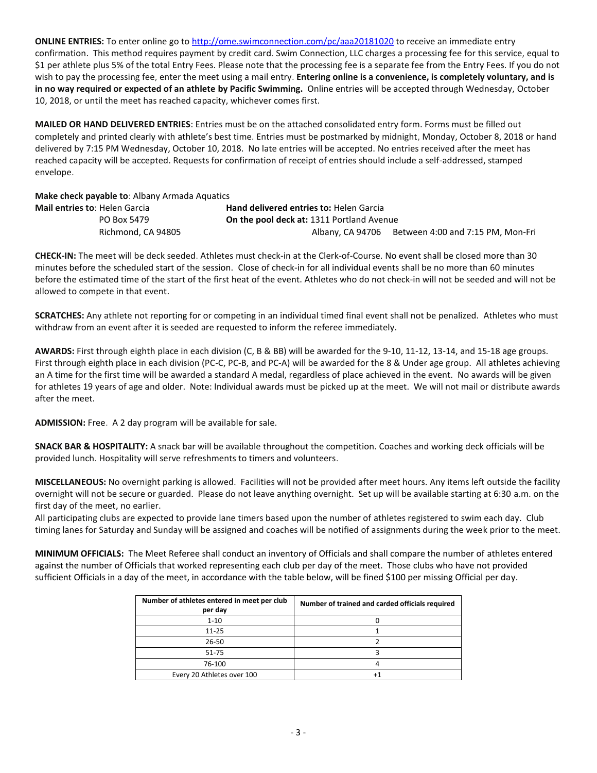**ONLINE ENTRIES:** To enter online go t[o http://ome.swimconnection.com/pc/aaa20181020](http://ome.swimconnection.com/pc/aaa20180428) to receive an immediate entry confirmation. This method requires payment by credit card. Swim Connection, LLC charges a processing fee for this service, equal to \$1 per athlete plus 5% of the total Entry Fees. Please note that the processing fee is a separate fee from the Entry Fees. If you do not wish to pay the processing fee, enter the meet using a mail entry. **Entering online is a convenience, is completely voluntary, and is in no way required or expected of an athlete by Pacific Swimming.** Online entries will be accepted through Wednesday, October 10, 2018, or until the meet has reached capacity, whichever comes first.

**MAILED OR HAND DELIVERED ENTRIES**: Entries must be on the attached consolidated entry form. Forms must be filled out completely and printed clearly with athlete's best time. Entries must be postmarked by midnight, Monday, October 8, 2018 or hand delivered by 7:15 PM Wednesday, October 10, 2018. No late entries will be accepted. No entries received after the meet has reached capacity will be accepted. Requests for confirmation of receipt of entries should include a self-addressed, stamped envelope.

**Make check payable to**: Albany Armada Aquatics

| Mail entries to: Helen Garcia | <b>Hand delivered entries to: Helen Garcia</b>   |                                                    |
|-------------------------------|--------------------------------------------------|----------------------------------------------------|
| PO Box 5479                   | <b>On the pool deck at: 1311 Portland Avenue</b> |                                                    |
| Richmond, CA 94805            |                                                  | Albany, CA 94706 Between 4:00 and 7:15 PM, Mon-Fri |

**CHECK-IN:** The meet will be deck seeded. Athletes must check-in at the Clerk-of-Course. No event shall be closed more than 30 minutes before the scheduled start of the session. Close of check-in for all individual events shall be no more than 60 minutes before the estimated time of the start of the first heat of the event. Athletes who do not check-in will not be seeded and will not be allowed to compete in that event.

**SCRATCHES:** Any athlete not reporting for or competing in an individual timed final event shall not be penalized. Athletes who must withdraw from an event after it is seeded are requested to inform the referee immediately.

**AWARDS:** First through eighth place in each division (C, B & BB) will be awarded for the 9-10, 11-12, 13-14, and 15-18 age groups. First through eighth place in each division (PC-C, PC-B, and PC-A) will be awarded for the 8 & Under age group. All athletes achieving an A time for the first time will be awarded a standard A medal, regardless of place achieved in the event. No awards will be given for athletes 19 years of age and older. Note: Individual awards must be picked up at the meet. We will not mail or distribute awards after the meet.

**ADMISSION:** Free. A 2 day program will be available for sale.

**SNACK BAR & HOSPITALITY:** A snack bar will be available throughout the competition. Coaches and working deck officials will be provided lunch. Hospitality will serve refreshments to timers and volunteers.

**MISCELLANEOUS:** No overnight parking is allowed. Facilities will not be provided after meet hours. Any items left outside the facility overnight will not be secure or guarded. Please do not leave anything overnight. Set up will be available starting at 6:30 a.m. on the first day of the meet, no earlier.

All participating clubs are expected to provide lane timers based upon the number of athletes registered to swim each day. Club timing lanes for Saturday and Sunday will be assigned and coaches will be notified of assignments during the week prior to the meet.

**MINIMUM OFFICIALS:** The Meet Referee shall conduct an inventory of Officials and shall compare the number of athletes entered against the number of Officials that worked representing each club per day of the meet. Those clubs who have not provided sufficient Officials in a day of the meet, in accordance with the table below, will be fined \$100 per missing Official per day.

| Number of athletes entered in meet per club<br>per day | Number of trained and carded officials required |
|--------------------------------------------------------|-------------------------------------------------|
| $1 - 10$                                               |                                                 |
| $11 - 25$                                              |                                                 |
| 26-50                                                  |                                                 |
| $51 - 75$                                              |                                                 |
| 76-100                                                 |                                                 |
| Every 20 Athletes over 100                             |                                                 |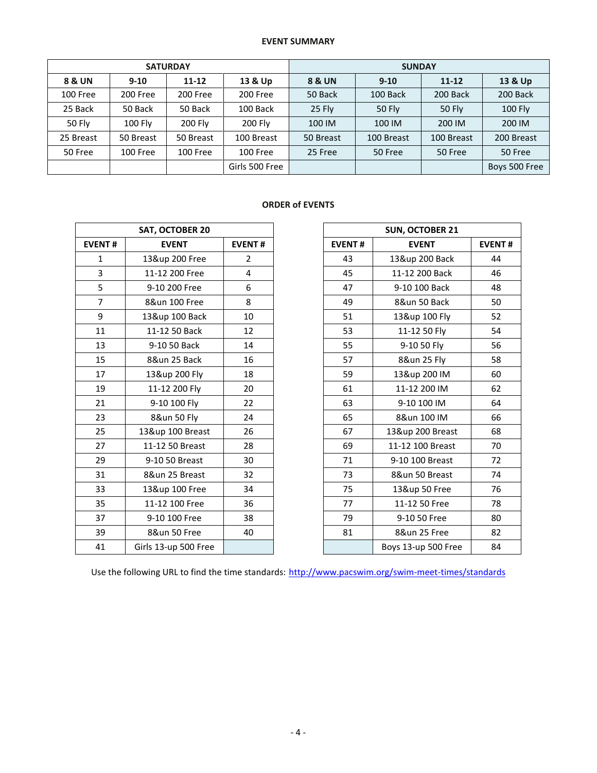### **EVENT SUMMARY**

| <b>SATURDAY</b>   |                |           | <b>SUNDAY</b>  |           |            |               |                |
|-------------------|----------------|-----------|----------------|-----------|------------|---------------|----------------|
| <b>8 &amp; UN</b> | $9 - 10$       | $11 - 12$ | 13 & Up        | 8 & UN    | $9 - 10$   | $11 - 12$     | 13 & Up        |
| 100 Free          | 200 Free       | 200 Free  | 200 Free       | 50 Back   | 100 Back   | 200 Back      | 200 Back       |
| 25 Back           | 50 Back        | 50 Back   | 100 Back       | 25 Fly    | 50 Fly     | <b>50 Fly</b> | <b>100 Fly</b> |
| <b>50 Fly</b>     | <b>100 Flv</b> | 200 Fly   | 200 Fly        | 100 IM    | 100 IM     | 200 IM        | 200 IM         |
| 25 Breast         | 50 Breast      | 50 Breast | 100 Breast     | 50 Breast | 100 Breast | 100 Breast    | 200 Breast     |
| 50 Free           | 100 Free       | 100 Free  | 100 Free       | 25 Free   | 50 Free    | 50 Free       | 50 Free        |
|                   |                |           | Girls 500 Free |           |            |               | Boys 500 Free  |

## **ORDER of EVENTS**

| <b>SAT, OCTOBER 20</b> |                      |               |  |  |  |
|------------------------|----------------------|---------------|--|--|--|
| <b>EVENT#</b>          | <b>EVENT</b>         | <b>EVENT#</b> |  |  |  |
| 1                      | 13&up 200 Free       | 2             |  |  |  |
| 3                      | 11-12 200 Free       | 4             |  |  |  |
| 5                      | 9-10 200 Free        | 6             |  |  |  |
| 7                      | 8&un 100 Free        | 8             |  |  |  |
| 9                      | 13&up 100 Back       | 10            |  |  |  |
| 11                     | 11-12 50 Back        | 12            |  |  |  |
| 13                     | 9-10 50 Back         | 14            |  |  |  |
| 15                     | 8&un 25 Back         | 16            |  |  |  |
| 17                     | 13&up 200 Fly        | 18            |  |  |  |
| 19                     | 11-12 200 Fly        | 20            |  |  |  |
| 21                     | 9-10 100 Fly         | 22            |  |  |  |
| 23                     | 8&un 50 Fly          | 24            |  |  |  |
| 25                     | 13&up 100 Breast     | 26            |  |  |  |
| 27                     | 11-12 50 Breast      | 28            |  |  |  |
| 29                     | 9-10 50 Breast       | 30            |  |  |  |
| 31                     | 8&un 25 Breast       | 32            |  |  |  |
| 33                     | 13&up 100 Free       | 34            |  |  |  |
| 35                     | 11-12 100 Free       | 36            |  |  |  |
| 37                     | 9-10 100 Free        | 38            |  |  |  |
| 39                     | 8&un 50 Free         | 40            |  |  |  |
| 41                     | Girls 13-up 500 Free |               |  |  |  |

| <b>SAT, OCTOBER 20</b> |                      | <b>SUN, OCTOBER 21</b> |               |                     |               |
|------------------------|----------------------|------------------------|---------------|---------------------|---------------|
| <b>EVENT#</b>          | <b>EVENT</b>         | <b>EVENT#</b>          | <b>EVENT#</b> | <b>EVENT</b>        | <b>EVENT#</b> |
| $\mathbf{1}$           | 13&up 200 Free       | $\overline{2}$         | 43            | 13&up 200 Back      | 44            |
| 3                      | 11-12 200 Free       | 4                      | 45            | 11-12 200 Back      | 46            |
| 5                      | 9-10 200 Free        | 6                      | 47            | 9-10 100 Back       | 48            |
| $\overline{7}$         | 8&un 100 Free        | 8                      | 49            | 8&un 50 Back        | 50            |
| 9                      | 13&up 100 Back       | 10                     | 51            | 13&up 100 Fly       | 52            |
| 11                     | 11-12 50 Back        | 12                     | 53            | 11-12 50 Fly        | 54            |
| 13                     | 9-10 50 Back         | 14                     | 55            | 9-10 50 Fly         | 56            |
| 15                     | 8&un 25 Back         | 16                     | 57            | 8&un 25 Fly         | 58            |
| 17                     | 13&up 200 Fly        | 18                     | 59            | 13&up 200 IM        | 60            |
| 19                     | 11-12 200 Fly        | 20                     | 61            | 11-12 200 IM        | 62            |
| 21                     | 9-10 100 Fly         | 22                     | 63            | 9-10 100 IM         | 64            |
| 23                     | 8&un 50 Fly          | 24                     | 65            | 8&un 100 IM         | 66            |
| 25                     | 13&up 100 Breast     | 26                     | 67            | 13&up 200 Breast    | 68            |
| 27                     | 11-12 50 Breast      | 28                     | 69            | 11-12 100 Breast    | 70            |
| 29                     | 9-10 50 Breast       | 30                     | 71            | 9-10 100 Breast     | 72            |
| 31                     | 8&un 25 Breast       | 32                     | 73            | 8&un 50 Breast      | 74            |
| 33                     | 13&up 100 Free       | 34                     | 75            | 13&up 50 Free       | 76            |
| 35                     | 11-12 100 Free       | 36                     | 77            | 11-12 50 Free       | 78            |
| 37                     | 9-10 100 Free        | 38                     | 79            | 9-10 50 Free        | 80            |
| 39                     | 8&un 50 Free         | 40                     | 81            | 8&un 25 Free        | 82            |
| 41                     | Girls 13-up 500 Free |                        |               | Boys 13-up 500 Free | 84            |

Use the following URL to find the time standards: <http://www.pacswim.org/swim-meet-times/standards>